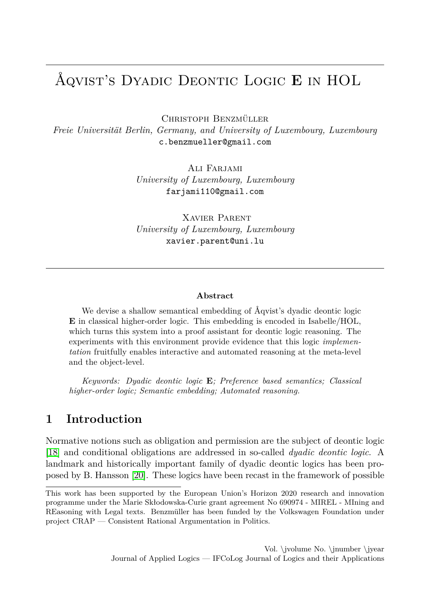# <span id="page-0-0"></span>Åqvist's Dyadic Deontic Logic **E** in HOL

Christoph Benzmüller

*Freie Universität Berlin, Germany, and University of Luxembourg, Luxembourg* c.benzmueller@gmail.com

> Ali Farjami *University of Luxembourg, Luxembourg* farjami110@gmail.com

> Xavier Parent *University of Luxembourg, Luxembourg* xavier.parent@uni.lu

#### **Abstract**

We devise a shallow semantical embedding of  $\ddot{A}$ qvist's dyadic deontic logic **E** in classical higher-order logic. This embedding is encoded in Isabelle/HOL, which turns this system into a proof assistant for deontic logic reasoning. The experiments with this environment provide evidence that this logic *implementation* fruitfully enables interactive and automated reasoning at the meta-level and the object-level.

*Keywords: Dyadic deontic logic* **E***; Preference based semantics; Classical higher-order logic; Semantic embedding; Automated reasoning.*

### **1 Introduction**

Normative notions such as obligation and permission are the subject of deontic logic [\[18\]](#page-14-0) and conditional obligations are addressed in so-called *dyadic deontic logic*. A landmark and historically important family of dyadic deontic logics has been proposed by B. Hansson [\[20\]](#page-14-1). These logics have been recast in the framework of possible

This work has been supported by the European Union's Horizon 2020 research and innovation programme under the Marie Skłodowska-Curie grant agreement No 690974 - MIREL - MIning and REasoning with Legal texts. Benzmüller has been funded by the Volkswagen Foundation under project CRAP — Consistent Rational Argumentation in Politics.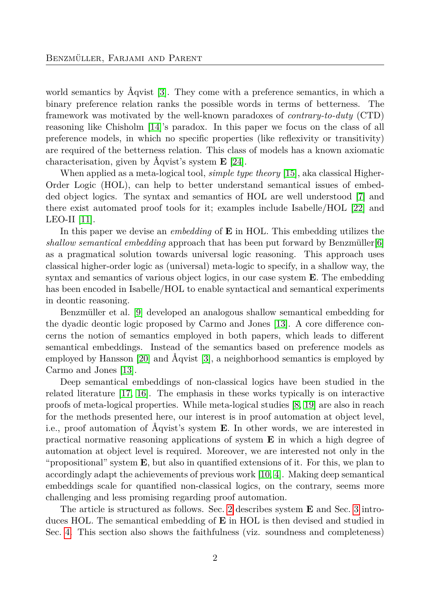world semantics by Åqvist [\[3\]](#page-13-0). They come with a preference semantics, in which a binary preference relation ranks the possible words in terms of betterness. The framework was motivated by the well-known paradoxes of *contrary-to-duty* (CTD) reasoning like Chisholm [\[14\]](#page-14-2)'s paradox. In this paper we focus on the class of all preference models, in which no specific properties (like reflexivity or transitivity) are required of the betterness relation. This class of models has a known axiomatic characterisation, given by Åqvist's system **E** [\[24\]](#page-14-3).

When applied as a meta-logical tool, *simple type theory* [\[15\]](#page-14-4), aka classical Higher-Order Logic (HOL), can help to better understand semantical issues of embedded object logics. The syntax and semantics of HOL are well understood [\[7\]](#page-13-1) and there exist automated proof tools for it; examples include Isabelle/HOL [\[22\]](#page-14-5) and LEO-II [\[11\]](#page-14-6).

In this paper we devise an *embedding* of **E** in HOL. This embedding utilizes the *shallow semantical embedding* approach that has been put forward by Benzmüller[\[6\]](#page-13-2) as a pragmatical solution towards universal logic reasoning. This approach uses classical higher-order logic as (universal) meta-logic to specify, in a shallow way, the syntax and semantics of various object logics, in our case system **E**. The embedding has been encoded in Isabelle/HOL to enable syntactical and semantical experiments in deontic reasoning.

Benzmüller et al. [\[9\]](#page-13-3) developed an analogous shallow semantical embedding for the dyadic deontic logic proposed by Carmo and Jones [\[13\]](#page-14-7). A core difference concerns the notion of semantics employed in both papers, which leads to different semantical embeddings. Instead of the semantics based on preference models as employed by Hansson [\[20\]](#page-14-1) and Åqvist [\[3\]](#page-13-0), a neighborhood semantics is employed by Carmo and Jones [\[13\]](#page-14-7).

Deep semantical embeddings of non-classical logics have been studied in the related literature [\[17,](#page-14-8) [16\]](#page-14-9). The emphasis in these works typically is on interactive proofs of meta-logical properties. While meta-logical studies [\[8,](#page-13-4) [19\]](#page-14-10) are also in reach for the methods presented here, our interest is in proof automation at object level, i.e., proof automation of Åqvist's system **E**. In other words, we are interested in practical normative reasoning applications of system **E** in which a high degree of automation at object level is required. Moreover, we are interested not only in the "propositional" system **E**, but also in quantified extensions of it. For this, we plan to accordingly adapt the achievements of previous work [\[10,](#page-14-11) [4\]](#page-13-5). Making deep semantical embeddings scale for quantified non-classical logics, on the contrary, seems more challenging and less promising regarding proof automation.

The article is structured as follows. Sec. [2](#page-2-0) describes system **E** and Sec. [3](#page-4-0) introduces HOL. The semantical embedding of **E** in HOL is then devised and studied in Sec. [4.](#page-8-0) This section also shows the faithfulness (viz. soundness and completeness)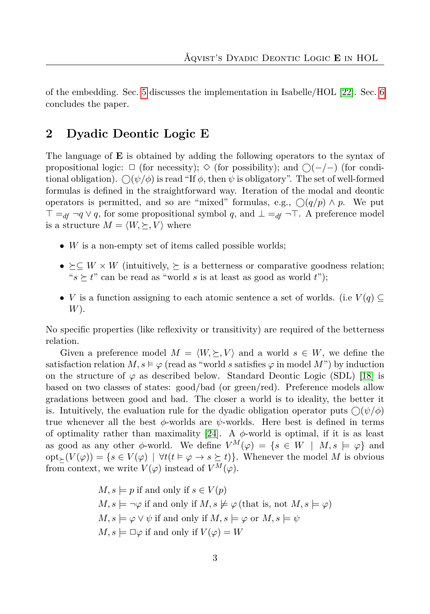of the embedding. Sec. [5](#page-10-0) discusses the implementation in Isabelle/HOL [\[22\]](#page-14-5). Sec. [6](#page-12-0) concludes the paper.

### <span id="page-2-0"></span>**2 Dyadic Deontic Logic E**

The language of **E** is obtained by adding the following operators to the syntax of propositional logic:  $\Box$  (for necessity);  $\diamond$  (for possibility); and  $\bigcirc (-/-)$  (for conditional obligation).  $\bigcirc (\psi/\phi)$  is read "If  $\phi$ , then  $\psi$  is obligatory". The set of well-formed formulas is defined in the straightforward way. Iteration of the modal and deontic operators is permitted, and so are "mixed" formulas, e.g.,  $\bigcirc(q/p) \wedge p$ . We put  $\top =_{df} \neg q \lor q$ , for some propositional symbol q, and  $\bot =_{df} \neg \top$ . A preference model is a structure  $M = \langle W, \succeq, V \rangle$  where

- *W* is a non-empty set of items called possible worlds;
- $\succeq \subseteq W \times W$  (intuitively,  $\succeq$  is a betterness or comparative goodness relation; " $s \geq t$ " can be read as "world *s* is at least as good as world *t*");
- *V* is a function assigning to each atomic sentence a set of worlds. (i.e  $V(q) \subseteq$ *W*).

No specific properties (like reflexivity or transitivity) are required of the betterness relation.

Given a preference model  $M = \langle W, \succeq, V \rangle$  and a world  $s \in W$ , we define the satisfaction relation  $M, s \models \varphi$  (read as "world *s* satisfies  $\varphi$  in model  $M$ ") by induction on the structure of  $\varphi$  as described below. Standard Deontic Logic (SDL) [\[18\]](#page-14-0) is based on two classes of states: good/bad (or green/red). Preference models allow gradations between good and bad. The closer a world is to ideality, the better it is. Intuitively, the evaluation rule for the dyadic obligation operator puts  $\bigcirc$   $(\psi/\phi)$ true whenever all the best *φ*-worlds are *ψ*-worlds. Here best is defined in terms of optimality rather than maximality  $[24]$ . A  $\phi$ -world is optimal, if it is as least as good as any other  $\phi$ -world. We define  $V^M(\varphi) = \{s \in W \mid M, s \models \varphi\}$  and opt⊱ $(V(\varphi)) = \{s \in V(\varphi) \mid \forall t (t \models \varphi \rightarrow s \succeq t)\}.$  Whenever the model *M* is obvious from context, we write  $V(\varphi)$  instead of  $V^M(\varphi)$ .

> $M, s \models p$  if and only if  $s \in V(p)$  $M, s \models \neg \varphi$  if and only if  $M, s \not\models \varphi$  (that is, not  $M, s \models \varphi$ )  $M, s \models \varphi \lor \psi$  if and only if  $M, s \models \varphi$  or  $M, s \models \psi$  $M, s \models \Box \varphi$  if and only if  $V(\varphi) = W$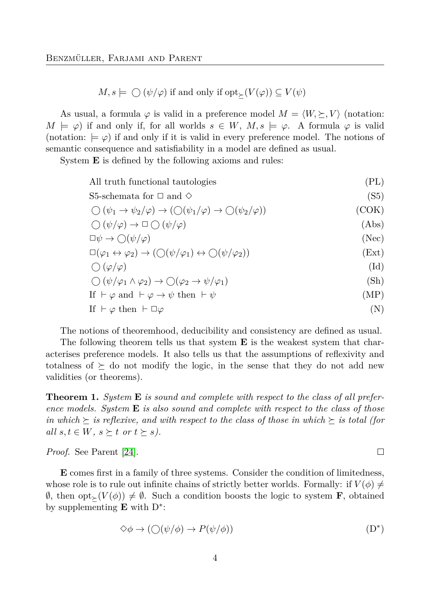$$
M, s \models \bigcirc (\psi/\varphi)
$$
 if and only if  $opt_{\succeq}(V(\varphi)) \subseteq V(\psi)$ 

As usual, a formula  $\varphi$  is valid in a preference model  $M = \langle W, \succeq, V \rangle$  (notation:  $M \models \varphi$  if and only if, for all worlds  $s \in W$ ,  $M, s \models \varphi$ . A formula  $\varphi$  is valid (notation:  $\models \varphi$ ) if and only if it is valid in every preference model. The notions of semantic consequence and satisfiability in a model are defined as usual.

System **E** is defined by the following axioms and rules:

All truth functional tautologies (PL)

S5-schemata for  $\Box$  and  $\diamond$  (S5)

$$
\bigcirc (\psi_1 \to \psi_2/\varphi) \to \bigcirc (\psi_1/\varphi) \to \bigcirc (\psi_2/\varphi) \bigcirc \tag{COK}
$$

$$
\bigcirc (\psi/\varphi) \to \Box \bigcirc (\psi/\varphi) \tag{Abs}
$$

$$
\Box \psi \to \bigcirc (\psi/\varphi) \tag{Nec}
$$

$$
\Box(\varphi_1 \leftrightarrow \varphi_2) \to (\bigcirc (\psi/\varphi_1) \leftrightarrow \bigcirc (\psi/\varphi_2))
$$
 (Ext)

$$
\bigcirc (\varphi/\varphi) \tag{Id}
$$

$$
\bigcirc (\psi/\varphi_1 \wedge \varphi_2) \to \bigcirc (\varphi_2 \to \psi/\varphi_1)
$$
 (Sh)

$$
\text{If } \vdash \varphi \text{ and } \vdash \varphi \to \psi \text{ then } \vdash \psi \tag{MP}
$$

$$
\text{If } \vdash \varphi \text{ then } \vdash \Box \varphi \tag{N}
$$

The notions of theoremhood, deducibility and consistency are defined as usual.

The following theorem tells us that system **E** is the weakest system that characterises preference models. It also tells us that the assumptions of reflexivity and totalness of  $\succeq$  do not modify the logic, in the sense that they do not add new validities (or theorems).

**Theorem 1.** *System* **E** *is sound and complete with respect to the class of all preference models. System* **E** *is also sound and complete with respect to the class of those in which*  $\succeq$  *is reflexive, and with respect to the class of those in which*  $\succeq$  *is total (for*  $all s, t \in W, s \succeq t \text{ or } t \succeq s).$ 

*Proof.* See Parent [\[24\]](#page-14-3).

**E** comes first in a family of three systems. Consider the condition of limitedness, whose role is to rule out infinite chains of strictly better worlds. Formally: if  $V(\phi) \neq$  $\emptyset$ , then  $\mathrm{opt}_{\succ}(V(\phi)) \neq \emptyset$ . Such a condition boosts the logic to system **F**, obtained by supplementing **E** with D<sup>∗</sup>:

$$
\Diamond \phi \to (\bigcirc (\psi/\phi) \to P(\psi/\phi))
$$
 (D\*)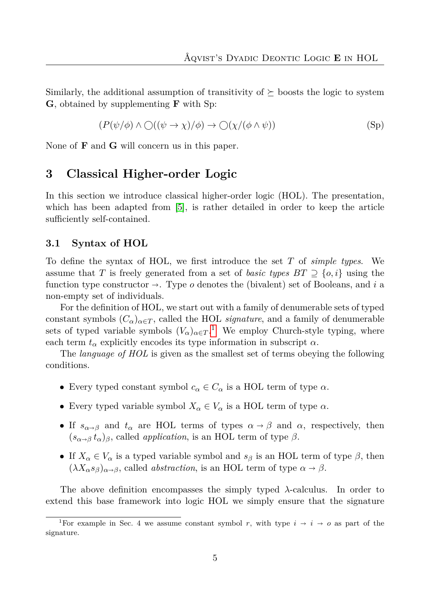Similarly, the additional assumption of transitivity of  $\succeq$  boosts the logic to system **G**, obtained by supplementing **F** with Sp:

$$
(P(\psi/\phi) \land \bigcirc ((\psi \to \chi)/\phi) \to \bigcirc (\chi/(\phi \land \psi))
$$
 (Sp)

None of **F** and **G** will concern us in this paper.

### <span id="page-4-0"></span>**3 Classical Higher-order Logic**

In this section we introduce classical higher-order logic (HOL). The presentation, which has been adapted from [\[5\]](#page-13-6), is rather detailed in order to keep the article sufficiently self-contained.

#### **3.1 Syntax of HOL**

To define the syntax of HOL, we first introduce the set *T* of *simple types*. We assume that *T* is freely generated from a set of *basic types*  $BT \supseteq {\{o, i\}}$  using the function type constructor  $\rightarrow$ . Type *o* denotes the (bivalent) set of Booleans, and *i* a non-empty set of individuals.

For the definition of HOL, we start out with a family of denumerable sets of typed constant symbols  $(C_{\alpha})_{\alpha \in T}$ , called the HOL *signature*, and a family of denumerable sets of typed variable symbols  $(V_{\alpha})_{\alpha \in T}$ .<sup>[1](#page-0-0)</sup> We employ Church-style typing, where each term  $t_{\alpha}$  explicitly encodes its type information in subscript  $\alpha$ .

The *language of HOL* is given as the smallest set of terms obeying the following conditions.

- Every typed constant symbol  $c_{\alpha} \in C_{\alpha}$  is a HOL term of type  $\alpha$ .
- Every typed variable symbol  $X_{\alpha} \in V_{\alpha}$  is a HOL term of type  $\alpha$ .
- If  $s_{\alpha \to \beta}$  and  $t_{\alpha}$  are HOL terms of types  $\alpha \to \beta$  and  $\alpha$ , respectively, then  $(s_{\alpha \to \beta} t_{\alpha})_{\beta}$ , called *application*, is an HOL term of type  $\beta$ .
- If  $X_\alpha \in V_\alpha$  is a typed variable symbol and  $s_\beta$  is an HOL term of type  $\beta$ , then  $(\lambda X_{\alpha} s_{\beta})_{\alpha \to \beta}$ , called *abstraction*, is an HOL term of type  $\alpha \to \beta$ .

The above definition encompasses the simply typed *λ*-calculus. In order to extend this base framework into logic HOL we simply ensure that the signature

<sup>&</sup>lt;sup>1</sup>For example in Sec. 4 we assume constant symbol *r*, with type  $i \rightarrow i \rightarrow o$  as part of the signature.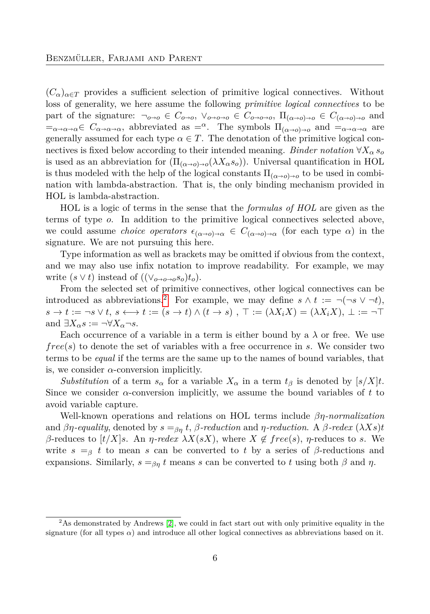$(C_{\alpha})_{\alpha \in \mathcal{T}}$  provides a sufficient selection of primitive logical connectives. Without loss of generality, we here assume the following *primitive logical connectives* to be part of the signature:  $\neg_{o\to o} \in C_{o\to o}, \vee_{o\to o\to o} \in C_{o\to o\to o}, \Pi_{(\alpha\to o)\to o} \in C_{(\alpha\to o)\to o}$  and  $=\alpha \rightarrow \alpha \rightarrow \alpha \in C_{\alpha \rightarrow \alpha \rightarrow \alpha}$ , abbreviated as  $=\alpha$ . The symbols  $\Pi_{(\alpha \rightarrow \alpha) \rightarrow \alpha}$  and  $=\alpha \rightarrow \alpha \rightarrow \alpha$  are generally assumed for each type  $\alpha \in T$ . The denotation of the primitive logical connectives is fixed below according to their intended meaning. *Binder notation* ∀*X<sup>α</sup> s<sup>o</sup>* is used as an abbreviation for  $(\Pi_{(\alpha \to 0) \to 0}(\lambda X_{\alpha} s_{o}))$ . Universal quantification in HOL is thus modeled with the help of the logical constants  $\Pi_{(\alpha\to 0)\to 0}$  to be used in combi-<br>patien with lembde eksteption. That is, the splu binding mashering presided in nation with lambda-abstraction. That is, the only binding mechanism provided in HOL is lambda-abstraction.

HOL is a logic of terms in the sense that the *formulas of HOL* are given as the terms of type *o*. In addition to the primitive logical connectives selected above, we could assume *choice operators*  $\epsilon_{(\alpha \to 0) \to \alpha} \in C_{(\alpha \to 0) \to \alpha}$  (for each type  $\alpha$ ) in the signature. We are not pursuing this here.

Type information as well as brackets may be omitted if obvious from the context, and we may also use infix notation to improve readability. For example, we may write  $(s \vee t)$  instead of  $((\vee_{o\rightarrow o\rightarrow o}s_o)t_o)$ .

From the selected set of primitive connectives, other logical connectives can be introduced as abbreviations.<sup>[2](#page-0-0)</sup> For example, we may define  $s \wedge t := \neg(\neg s \vee \neg t)$ ,  $s \to t := \neg s \vee t, s \longleftrightarrow t := (s \to t) \wedge (t \to s)$ ,  $\top := (\lambda X_i X) = (\lambda X_i X)$ ,  $\bot := \neg \top$ and  $\exists X_{\alpha} s := \neg \forall X_{\alpha} \neg s$ .

Each occurrence of a variable in a term is either bound by a  $\lambda$  or free. We use *free*(*s*) to denote the set of variables with a free occurrence in *s*. We consider two terms to be *equal* if the terms are the same up to the names of bound variables, that is, we consider *α*-conversion implicitly.

*Substitution* of a term  $s_\alpha$  for a variable  $X_\alpha$  in a term  $t_\beta$  is denoted by  $[s/X]t$ . Since we consider *α*-conversion implicitly, we assume the bound variables of *t* to avoid variable capture.

Well-known operations and relations on HOL terms include *βη-normalization* and  $\beta\eta$ -equality, denoted by  $s =_{\beta\eta} t$ ,  $\beta$ -reduction and  $\eta$ -reduction. A  $\beta$ -redex ( $\lambda X s$ )*t β*-reduces to  $[t/X]$ *s*. An *η*-redex  $\lambda X(sX)$ , where  $X \notin free(s)$ , *η*-reduces to *s*. We write  $s = \beta t$  to mean s can be converted to t by a series of  $\beta$ -reductions and expansions. Similarly,  $s =_{\beta\eta} t$  means *s* can be converted to *t* using both  $\beta$  and  $\eta$ .

 $2^2$ As demonstrated by Andrews [\[2\]](#page-13-7), we could in fact start out with only primitive equality in the signature (for all types  $\alpha$ ) and introduce all other logical connectives as abbreviations based on it.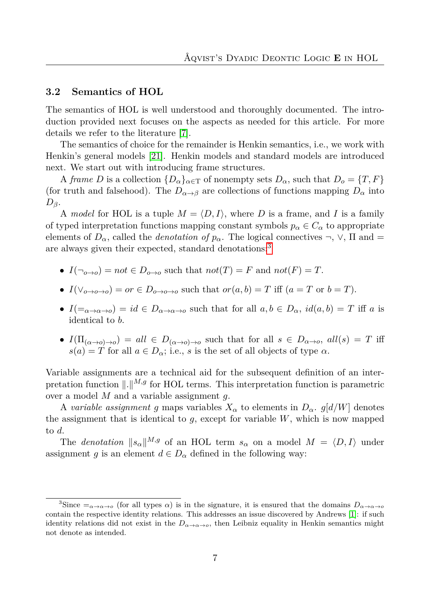### **3.2 Semantics of HOL**

The semantics of HOL is well understood and thoroughly documented. The introduction provided next focuses on the aspects as needed for this article. For more details we refer to the literature [\[7\]](#page-13-1).

The semantics of choice for the remainder is Henkin semantics, i.e., we work with Henkin's general models [\[21\]](#page-14-12). Henkin models and standard models are introduced next. We start out with introducing frame structures.

A *frame D* is a collection  $\{D_{\alpha}\}_{{\alpha \in {\rm T}}}$  of nonempty sets  $D_{\alpha}$ , such that  $D_o = \{T, F\}$ (for truth and falsehood). The  $D_{\alpha \to \beta}$  are collections of functions mapping  $D_{\alpha}$  into *Dβ*.

A *model* for HOL is a tuple  $M = \langle D, I \rangle$ , where *D* is a frame, and *I* is a family of typed interpretation functions mapping constant symbols  $p_\alpha \in C_\alpha$  to appropriate elements of  $D_{\alpha}$ , called the *denotation of*  $p_{\alpha}$ . The logical connectives  $\neg$ ,  $\neg$ ,  $\Pi$  and  $=$ are always given their expected, standard denotations:<sup>[3](#page-0-0)</sup>

- $I(\neg_{o\rightarrow o}) = not \in D_{o\rightarrow o}$  such that  $not(T) = F$  and  $not(F) = T$ .
- $I(\vee_{o\to o\to o}) = or \in D_{o\to o\to o}$  such that  $or(a, b) = T$  iff  $(a = T \text{ or } b = T)$ .
- $I(=_{\alpha\to\alpha\to\alpha}) = id \in D_{\alpha\to\alpha\to\alpha}$  such that for all  $a, b \in D_{\alpha}$ ,  $id(a, b) = T$  iff a is identical to *b*.
- $I(\Pi_{(\alpha\to 0)\to 0}) = all \in D_{(\alpha\to 0)\to 0}$  such that for all  $s \in D_{\alpha\to 0}$ ,  $all(s) = T$  iff  $s(a) = T$  for all  $a \in D_\alpha$ ; i.e., *s* is the set of all objects of type  $\alpha$ .

Variable assignments are a technical aid for the subsequent definition of an interpretation function  $\Vert . \Vert^{M,g}$  for HOL terms. This interpretation function is parametric over a model *M* and a variable assignment *g*.

A *variable assignment g* maps variables  $X_{\alpha}$  to elements in  $D_{\alpha}$ .  $g(d/W)$  denotes the assignment that is identical to *g*, except for variable *W*, which is now mapped to *d*.

The *denotation*  $||s_{\alpha}||^{M,g}$  of an HOL term  $s_{\alpha}$  on a model  $M = \langle D, I \rangle$  under assignment *g* is an element  $d \in D_{\alpha}$  defined in the following way:

<sup>&</sup>lt;sup>3</sup>Since  $=\alpha \rightarrow \alpha \rightarrow o$  (for all types  $\alpha$ ) is in the signature, it is ensured that the domains  $D_{\alpha \rightarrow \alpha \rightarrow o}$ contain the respective identity relations. This addresses an issue discovered by Andrews [\[1\]](#page-13-8): if such identity relations did not exist in the  $D_{\alpha\to\alpha\to\phi}$ , then Leibniz equality in Henkin semantics might not denote as intended.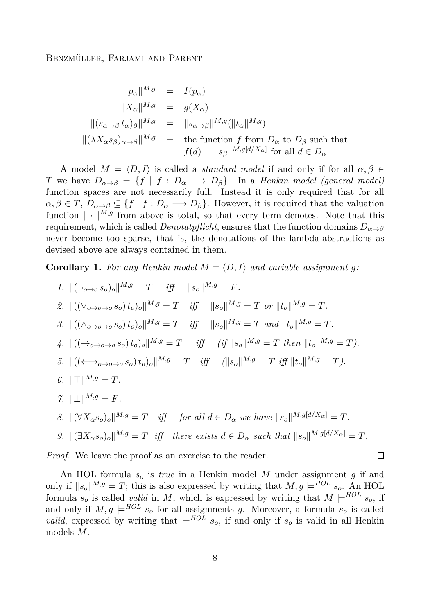$$
||p_{\alpha}||^{M,g} = I(p_{\alpha})
$$
  
\n
$$
||X_{\alpha}||^{M,g} = g(X_{\alpha})
$$
  
\n
$$
||(s_{\alpha \to \beta} t_{\alpha})_{\beta}||^{M,g} = ||s_{\alpha \to \beta}||^{M,g} (||t_{\alpha}||^{M,g})
$$
  
\n
$$
||(\lambda X_{\alpha} s_{\beta})_{\alpha \to \beta}||^{M,g} = \text{the function } f \text{ from } D_{\alpha} \text{ to } D_{\beta} \text{ such that}
$$
  
\n
$$
f(d) = ||s_{\beta}||^{M,g[d/X_{\alpha}]} \text{ for all } d \in D_{\alpha}
$$

A model  $M = \langle D, I \rangle$  is called a *standard model* if and only if for all  $\alpha, \beta \in$ *T* we have  $D_{\alpha \to \beta} = \{f \mid f : D_{\alpha} \to D_{\beta}\}.$  In a *Henkin model (general model)* function spaces are not necessarily full. Instead it is only required that for all  $\alpha, \beta \in T$ ,  $D_{\alpha \to \beta} \subseteq \{f \mid f : D_{\alpha} \longrightarrow D_{\beta}\}.$  However, it is required that the valuation function  $\| \cdot \|^{M,g}$  from above is total, so that every term denotes. Note that this requirement, which is called *Denotatpflicht*, ensures that the function domains  $D_{\alpha \to \beta}$ never become too sparse, that is, the denotations of the lambda-abstractions as devised above are always contained in them.

**Corollary 1.** For any Henkin model  $M = \langle D, I \rangle$  and variable assignment q:

1. 
$$
\|(\neg_{o\to o} s_o)_o\|^{M,g} = T
$$
 iff  $\|s_o\|^{M,g} = F$ .  
\n2.  $\|((\vee_{o\to o\to o} s_o) t_o)_o\|^{M,g} = T$  iff  $\|s_o\|^{M,g} = T$  or  $\|t_o\|^{M,g} = T$ .  
\n3.  $\|((\wedge_{o\to o\to o} s_o) t_o)_o\|^{M,g} = T$  iff  $\|s_o\|^{M,g} = T$  and  $\|t_o\|^{M,g} = T$ .  
\n4.  $\|((\rightarrow_{o\to o\to o} s_o) t_o)_o\|^{M,g} = T$  iff  $(if \|s_o\|^{M,g} = T$  then  $\|t_o\|^{M,g} = T$ ).  
\n5.  $\|((\longleftrightarrow_{o\to o\to o} s_o) t_o)_o\|^{M,g} = T$  iff  $(\|s_o\|^{M,g} = T$  iff  $\|t_o\|^{M,g} = T$ ).  
\n6.  $\|\top\|^{M,g} = T$ .  
\n7.  $\|\bot\|^{M,g} = F$ .  
\n8.  $\|(\forall X_{\alpha}s_o)_o\|^{M,g} = T$  iff for all  $d \in D_{\alpha}$  we have  $\|s_o\|^{M,g[d/X_{\alpha}]} = T$ .  
\n9.  $\|(\exists X_{\alpha}s_o)_o\|^{M,g} = T$  iff there exists  $d \in D_{\alpha}$  such that  $\|s_o\|^{M,g[d/X_{\alpha}]} = T$ .

*Proof.* We leave the proof as an exercise to the reader.

An HOL formula  $s<sub>o</sub>$  is *true* in a Henkin model *M* under assignment *g* if and only if  $||s_o||^{M,g} = T$ ; this is also expressed by writing that  $M, g \models \bar{H}^{OL} s_o$ . An HOL formula  $s_o$  is called *valid* in *M*, which is expressed by writing that  $M \models^{HOL} s_o$ , if and only if  $M, g \models^{HOL} s_o$  for all assignments *g*. Moreover, a formula  $s_o$  is called *valid*, expressed by writing that  $\models^{HOL} s_o$ , if and only if  $s_o$  is valid in all Henkin models *M*.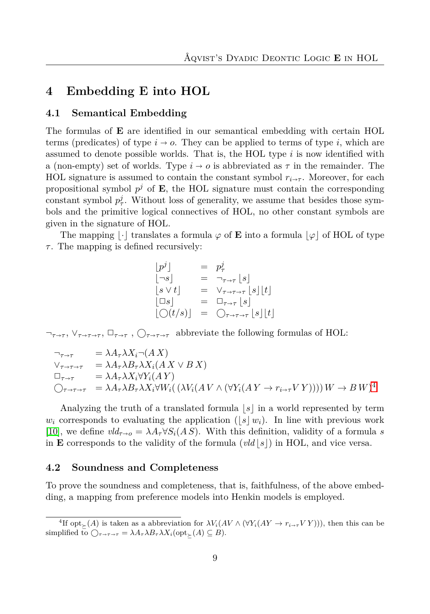### <span id="page-8-0"></span>**4 Embedding E into HOL**

### **4.1 Semantical Embedding**

The formulas of **E** are identified in our semantical embedding with certain HOL terms (predicates) of type  $i \rightarrow o$ . They can be applied to terms of type i, which are assumed to denote possible worlds. That is, the HOL type *i* is now identified with a (non-empty) set of worlds. Type  $i \to o$  is abbreviated as  $\tau$  in the remainder. The HOL signature is assumed to contain the constant symbol  $r_{i\rightarrow\tau}$ . Moreover, for each propositional symbol  $p^j$  of **E**, the HOL signature must contain the corresponding constant symbol  $p^j_\tau$ . Without loss of generality, we assume that besides those symbols and the primitive logical connectives of HOL, no other constant symbols are given in the signature of HOL.

The mapping  $\cdot$  translates a formula  $\varphi$  of **E** into a formula  $\varphi$  of HOL of type *τ* . The mapping is defined recursively:

$$
\begin{array}{rcl}\n[p^j] & = & p^j_\tau \\
[\neg s] & = & \neg_{\tau \to \tau} \lfloor s \rfloor \\
[s \lor t] & = & \lor_{\tau \to \tau \to \tau} \lfloor s \rfloor \lfloor t \rfloor \\
[\Box s] & = & \Box_{\tau \to \tau} \lfloor s \rfloor \\
[\bigcirc(t/s)] & = & \bigcirc_{\tau \to \tau \to \tau} \lfloor s \rfloor \lfloor t \rfloor\n\end{array}
$$

 $\neg_{\tau \to \tau}$ ,  $\vee_{\tau \to \tau \to \tau}$ ,  $\Box_{\tau \to \tau}$ ,  $\bigcirc_{\tau \to \tau \to \tau}$  abbreviate the following formulas of HOL:

$$
\begin{aligned}\n\Gamma_{\tau \to \tau} &= \lambda A_{\tau} \lambda X_i \neg (AX) \\
\forall_{\tau \to \tau \to \tau} &= \lambda A_{\tau} \lambda B_{\tau} \lambda X_i (AX \lor BX) \\
\Box_{\tau \to \tau} &= \lambda A_{\tau} \lambda X_i \forall Y_i (AY) \\
\bigcirc_{\tau \to \tau \to \tau} &= \lambda A_{\tau} \lambda B_{\tau} \lambda X_i \forall W_i (\left(\lambda V_i (AY \land (\forall Y_i (AY \to r_{i \to \tau} V Y)))) \mid W \to BW)^4\n\end{aligned}
$$

Analyzing the truth of a translated formula  $|s|$  in a world represented by term  $w_i$  corresponds to evaluating the application ( $|s|w_i$ ). In line with previous work [\[10\]](#page-14-11), we define  $vld_{\tau\to o} = \lambda A_\tau \forall S_i(AS)$ . With this definition, validity of a formula *s* in **E** corresponds to the validity of the formula  $(vld | s|)$  in HOL, and vice versa.

### **4.2 Soundness and Completeness**

To prove the soundness and completeness, that is, faithfulness, of the above embedding, a mapping from preference models into Henkin models is employed.

<sup>&</sup>lt;sup>4</sup>If opt<sub> $\succeq$ </sub>(*A*) is taken as a abbreviation for  $\lambda V_i(AV \wedge (\forall Y_i(AY \rightarrow r_{i \rightarrow \tau} V Y)))$ , then this can be simplified to  $\bigcirc_{\tau \to \tau \to \tau} = \lambda A_{\tau} \lambda B_{\tau} \lambda X_i(\text{opt}_{\succ}(A) \subseteq B).$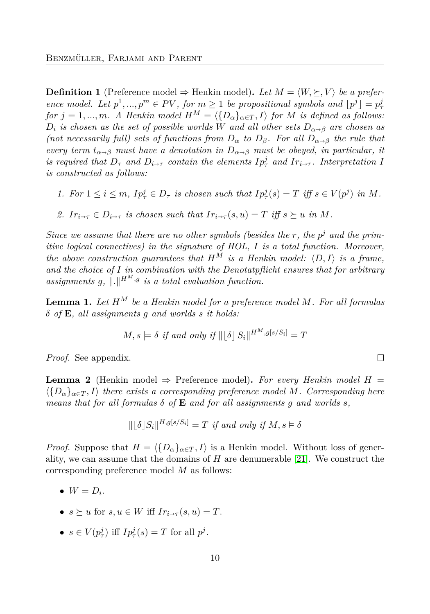**Definition 1** (Preference model  $\Rightarrow$  Henkin model). Let  $M = \langle W, \succeq, V \rangle$  be a prefer*ence model. Let*  $p^1, ..., p^m \in PV$ , for  $m \ge 1$  *be propositional symbols and*  $\lfloor p^j \rfloor = p^j_{\tau}$ *for*  $j = 1, ..., m$ . A Henkin model  $H^M = \langle \{D_\alpha\}_{\alpha \in T}, I \rangle$  for M is defined as follows:  $D_i$  *is chosen as the set of possible worlds W and all other sets*  $D_{\alpha\beta}$  *are chosen as (not necessarily full) sets of functions from*  $D_{\alpha}$  *to*  $D_{\beta}$ *. For all*  $D_{\alpha\rightarrow\beta}$  *the rule that every term*  $t_{\alpha\beta}$  *must have a denotation in*  $D_{\alpha\beta}$  *must be obeyed, in particular, it is required that*  $D_{\tau}$  *and*  $D_{i\to\tau}$  *contain the elements*  $I p_{\tau}^j$  *and*  $I r_{i\to\tau}$ *. Interpretation I is constructed as follows:*

- 1. For  $1 \leq i \leq m$ ,  $I p_{\tau}^{j} \in D_{\tau}$  is chosen such that  $I p_{\tau}^{j}(s) = T$  iff  $s \in V(p^{j})$  in M.
- 2.  $Ir_{i\rightarrow\tau} \in D_{i\rightarrow\tau}$  *is chosen such that*  $Ir_{i\rightarrow\tau}(s, u) = T$  *iff*  $s \succeq u$  *in M*.

*Since we assume that there are no other symbols (besides the*  $r$ , the  $p^j$  and the prim*itive logical connectives) in the signature of HOL, I is a total function. Moreover, the above construction quarantees that*  $H^M$  *is a Henkin model:*  $\langle D, I \rangle$  *is a frame, and the choice of I in combination with the Denotatpflicht ensures that for arbitrary* assignments g,  $\Vert . \Vert^{H^M, g}$  is a total evaluation function.

<span id="page-9-0"></span>**Lemma 1.** *Let H<sup>M</sup> be a Henkin model for a preference model M. For all formulas δ of* **E***, all assignments g and worlds s it holds:*

$$
M, s \models \delta \text{ if and only if } || \lfloor \delta \rfloor S_i ||^{H^M, g[s/S_i]} = T
$$

*Proof.* See appendix.

**Lemma 2** (Henkin model  $\Rightarrow$  Preference model). For every Henkin model H =  $\langle \{D_{\alpha}\}_{{\alpha}\in T}, I \rangle$  there exists a corresponding preference model M. Corresponding here *means that for all formulas δ of* **E** *and for all assignments g and worlds s,*

$$
\|\lfloor \delta \rfloor S_i\|^{H, g[s/S_i]} = T \text{ if and only if } M, s \models \delta
$$

*Proof.* Suppose that  $H = \langle \{D_{\alpha}\}_{{\alpha \in T}}, I \rangle$  is a Henkin model. Without loss of generality, we can assume that the domains of *H* are denumerable [\[21\]](#page-14-12). We construct the corresponding preference model *M* as follows:

- $\bullet$   $W = D_i.$
- $s \succeq u$  for  $s, u \in W$  iff  $Ir_{i \to \tau}(s, u) = T$ .
- $s \in V(p_\tau^j)$  iff  $Ip_\tau^j(s) = T$  for all  $p^j$ .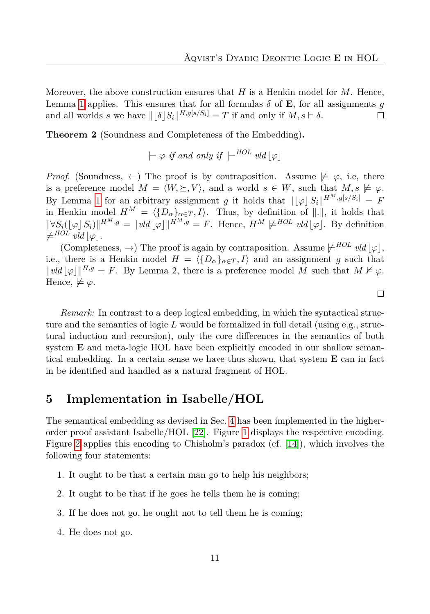Moreover, the above construction ensures that *H* is a Henkin model for *M*. Hence, Lemma [1](#page-9-0) applies. This ensures that for all formulas  $\delta$  of **E**, for all assignments *q* and all worlds *s* we have  $\left\| \left[ \delta \right] S_i \right\|^{H,g[s/S_i]} = T$  if and only if  $M, s \models \delta$ .  $\Box$ 

**Theorem 2** (Soundness and Completeness of the Embedding)**.**

$$
\models \varphi \text{ if and only if } \models^{HOL} vld |\varphi|
$$

*Proof.* (Soundness,  $\leftarrow$ ) The proof is by contraposition. Assume  $\models \varphi$ , i.e, there is a preference model  $M = \langle W, \succeq, V \rangle$ , and a world  $s \in W$ , such that  $M, s \not\models \varphi$ . By Lemma [1](#page-9-0) for an arbitrary assignment *g* it holds that  $\left\| \left[ \varphi \right] S_i \right\|^{H^M, g[s/S_i]} = F$ in Henkin model  $H^M = \langle \{D_\alpha\}_{\alpha \in T}, I \rangle$ . Thus, by definition of  $\|.\|$ , it holds that  $\|\forall S_i(\lfloor \varphi \rfloor S_i)\|^{H^M,g} = \|vld \lfloor \varphi \rfloor \|^{H^M,g} = F$ . Hence,  $H^M \not\models^{HOL} vld \lfloor \varphi \rfloor$ . By definition  $\not\vDash^{HOL} vld|\varphi|.$ 

(Completeness,  $\rightarrow$ ) The proof is again by contraposition. Assume  $\not\models$ <sup>*HOL*</sup>  $vld | \varphi |$ , i.e., there is a Henkin model  $H = \langle \{D_{\alpha}\}_{{\alpha \in T}}, I \rangle$  and an assignment *g* such that  $\|v\| \varphi\|^{H,g} = F$ . By Lemma 2, there is a preference model *M* such that  $M \nvDash \varphi$ . Hence,  $\not\models \varphi$ .

*Remark:* In contrast to a deep logical embedding, in which the syntactical structure and the semantics of logic *L* would be formalized in full detail (using e.g., structural induction and recursion), only the core differences in the semantics of both system **E** and meta-logic HOL have been explicitly encoded in our shallow semantical embedding. In a certain sense we have thus shown, that system **E** can in fact in be identified and handled as a natural fragment of HOL.

### <span id="page-10-0"></span>**5 Implementation in Isabelle/HOL**

The semantical embedding as devised in Sec. [4](#page-8-0) has been implemented in the higherorder proof assistant Isabelle/HOL [\[22\]](#page-14-5). Figure [1](#page-0-0) displays the respective encoding. Figure [2](#page-0-0) applies this encoding to Chisholm's paradox (cf. [\[14\]](#page-14-2)), which involves the following four statements:

- 1. It ought to be that a certain man go to help his neighbors;
- 2. It ought to be that if he goes he tells them he is coming;
- 3. If he does not go, he ought not to tell them he is coming;
- 4. He does not go.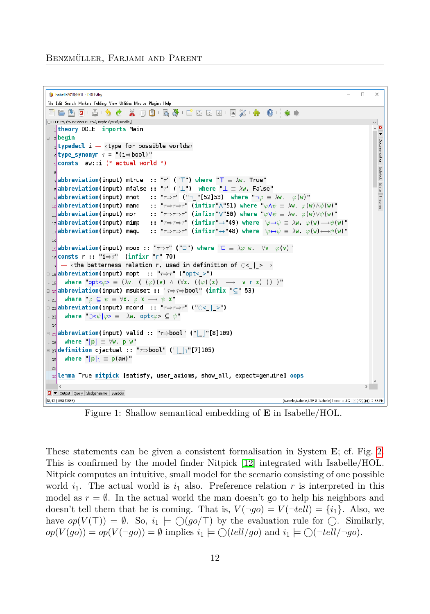```
Sp Isabelle2018/HOL - DDLE.thy
                                                                                                                                                          \Box\timesFile Edit Search Markers Folding View Utilities Macros Plugins Help
 TGAD 6 4 1 X 6 6 1 6 8 1 7 8 8 1 8 3 4 0 1 4 1
 DDLE.thy (%USERPROFILE%\Dropbox\Mirel\isabelle\)
                                                                                                                                                                \checkmark\frac{1}{2} B
   1theory DDLE imports Main
                                                                                                                                                                  \overline{\phantom{0}}2begin
                                                                                                                                                                  Documentation Sidekick State Theories
   stypedecl i - <type for possible worlds>
   _4type_synonym \tau = "(i\Rightarrowbool)"
   sconsts aw::i (* actual world *)
   \etaabbreviation(input) mtrue :: "\tau" ("T") where "T \equiv \lambdaw. True"
   sabbreviation(input) mfalse :: "\tau" ("\bot") where "\bot \equiv \lambda w. False"
                                                 \therefore "\tau \Rightarrow \tau" ("\neg "[52]53) where "\neg \varphi \equiv \lambda w. \neg \varphi(w)"
   sabbreviation(input) mnot
  10 abbreviation(input) mand
                                                 \tau : \tau \rightarrow \tau \rightarrow \tau" (infixr"\"51) where "\varphi \wedge \psi = \lambda w. \varphi(w) \wedge \psi(w)"
  <sub>11</sub>abbreviation(input) mor
                                                  :: "\tau \Rightarrow \tau \Rightarrow \tau" (infixr"\"50) where "\varphi \lor \psi \equiv \lambda w. \varphi(w) \lor \psi(w)"
                                                 \therefore "\tau \Rightarrow \tau \Rightarrow \tau" (infixr"\rightarrow 49) where "\varphi \rightarrow \psi \equiv \lambda w. \varphi(w) \rightarrow \psi(w)"
  _{12}abbreviation(input) mimp
  _{13}abbreviation(input) mequ
                                                 \cdots "\tau \Rightarrow \tau \Rightarrow \tau" (infixr"\leftrightarrow"48) where "\varphi \leftrightarrow \psi \equiv \lambda w \varphi(w) \longleftrightarrow \psi(w)"
  1415 abbreviation(input) mbox :: "\tau \Rightarrow \tau" ("\Box") where "\Box \equiv \lambda \varphi w. \forall v. \varphi(v)"
  _{16} consts r :: "i\Rightarrow \tau" (infixr "r" 70)
  _{17} - <the betterness relation r, used in definition of \circ<_|_> >
  18 abbreviation(input) mopt :: "\tau \Rightarrow \tau" ("opt<_>")
      where "opt<\varphi> \equiv (\lambdav. ( (\varphi)(v) \wedge (\forallx. ((\varphi)(x) \longrightarrow v r x))))"
  19_{20}abbreviation(input) msubset :: "\tau \rightarrow \tau \rightarrowbool" (infix "C" 53)
      where \varphi \subseteq \psi \equiv \forall x \quad \varphi \quad x \longrightarrow \psi \quad x21_{22}abbreviation(input) mcond :: "\tau \Rightarrow \tau \Rightarrow \tau" ("\bigcirc < | >")
  23 where \bigcirc \langle \psi | \varphi \rangle \equiv \lambda w. opt\langle \varphi \rangle \subseteq \psi"
  ^{24}_{25}abbreviation(input) valid :: "\tau \rightarrowbool" ("| |"[8]109)
 _{26} where |p| \equiv \forall w p w"
 _{27} definition cjactual :: "\tau \rightarrowbool" ("|_|\tau"[7]105)
      where |p|_1 \equiv p(\text{aw})2829
  30 Lemma True nitpick [satisfy, user_axioms, show_all, expect=genuine] oops
8 v Output Query Sledgehammer Symbols
48,42 (1881/3855)
                                                                                                                    (isabelle,isabelle,UTF-8-Isabelle) | nm r o UG 202/722MB 2:56 PM
```
Figure 1: Shallow semantical embedding of **E** in Isabelle/HOL.

These statements can be given a consistent formalisation in System **E**; cf. Fig. [2.](#page-0-0) This is confirmed by the model finder Nitpick [\[12\]](#page-14-13) integrated with Isabelle/HOL. Nitpick computes an intuitive, small model for the scenario consisting of one possible world  $i_1$ . The actual world is  $i_1$  also. Preference relation r is interpreted in this model as  $r = \emptyset$ . In the actual world the man doesn't go to help his neighbors and doesn't tell them that he is coming. That is,  $V(\neg go) = V(\neg tell) = \{i_1\}$ . Also, we have  $op(V(T)) = \emptyset$ . So,  $i_1 \models \bigcirc (go/\top)$  by the evaluation rule for  $\bigcirc$ . Similarly,  $op(V(go)) = op(V(\neg go)) = \emptyset$  implies  $i_1 \models \bigcirc (tell/go)$  and  $i_1 \models \bigcirc (\neg tell/\neg go)$ .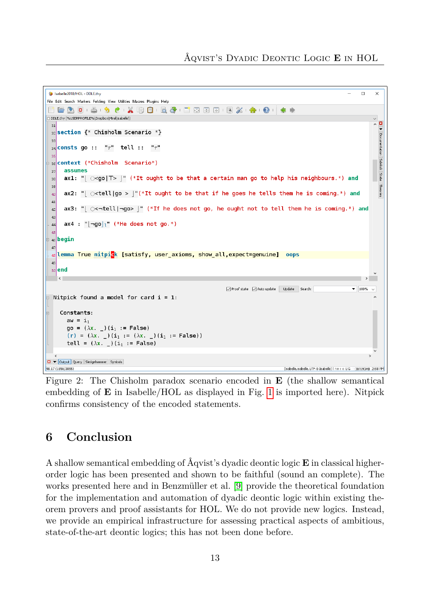```
<sup>3</sup> Isabelle2018/HOL - DDLE.thv
                                                                                                                            \Box\timesFile Edit Search Markers Folding View Utilities Macros Plugins Help
 日信西回: 凸: 今 さ: ※ 肩目: 15 2 : 口図日 3: 15 : 3: ★: ◎ : ↓ ● ↑
\Box DDLE.thy (%USERPROFILE%\Dropbox\Mirel\isabelle\)
                                                                                                                                 \checkmark\frac{1}{2} B
 31Documentation
 32 section {* Chisholm Scenario *}
 33
    consts go :: " \tau" tell :: " \tau"34
  33
                                                                                                                                   Sidekick
 36 context (*Chisholm Scenario*)
      assumes
 37
                                                                                                                                   State
      38
                                                                                                                                   Theories
  39
      ax2: "\circ <tell|go > \circ (*It ought to be that if he goes he tells them he is coming.*) and
  40
  41ax3: "\circ -tell |-go> \circ" (*If he does not go, he ought not to tell them he is coming.*) and
  42^{43}ax4 : |\neg go|_1 (*He does not go.*)
  ^{44}4!46begin
  \overline{4}lemma True nitpi<mark>c</mark>k [satisfy, user_axioms, show_all,expect=genuine] oops
  484950 end
                                                                                                                             \mathcal{P}\boxed{\smash{\frown}} Proof state \smash{\frown} Auto update Update Search:
                                                                                                                         \blacktriangledown 100% \blacktriangledownNitpick found a model for card i = 1:
     Constants:
       aw = i_1go = (\lambda x \ \ )(i_1 := False)
        (r) = (\lambda x. ) (i_1 := (\lambda x. ) (i_1 := False))tell = (\lambda x \quad \_)(i_1 := False)Output Query Sledgehammer Symbols
48,17 (1856/3855)
                                                                                             (isabelle, isabelle, UTF-8-Isabelle) | nm r o UG 130/695MB 2:58 PM
```
Figure 2: The Chisholm paradox scenario encoded in **E** (the shallow semantical embedding of **E** in Isabelle/HOL as displayed in Fig. [1](#page-0-0) is imported here). Nitpick confirms consistency of the encoded statements.

## <span id="page-12-0"></span>**6 Conclusion**

A shallow semantical embedding of Åqvist's dyadic deontic logic **E** in classical higherorder logic has been presented and shown to be faithful (sound an complete). The works presented here and in Benzmüller et al. [\[9\]](#page-13-3) provide the theoretical foundation for the implementation and automation of dyadic deontic logic within existing theorem provers and proof assistants for HOL. We do not provide new logics. Instead, we provide an empirical infrastructure for assessing practical aspects of ambitious, state-of-the-art deontic logics; this has not been done before.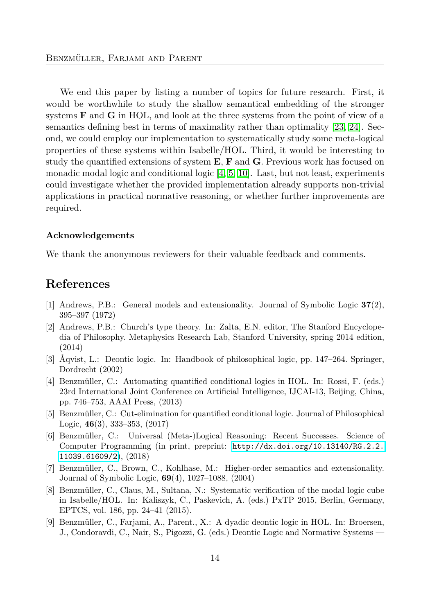We end this paper by listing a number of topics for future research. First, it would be worthwhile to study the shallow semantical embedding of the stronger systems **F** and **G** in HOL, and look at the three systems from the point of view of a semantics defining best in terms of maximality rather than optimality [\[23,](#page-14-14) [24\]](#page-14-3). Second, we could employ our implementation to systematically study some meta-logical properties of these systems within Isabelle/HOL. Third, it would be interesting to study the quantified extensions of system **E**, **F** and **G**. Previous work has focused on monadic modal logic and conditional logic [\[4,](#page-13-5) [5,](#page-13-6) [10\]](#page-14-11). Last, but not least, experiments could investigate whether the provided implementation already supports non-trivial applications in practical normative reasoning, or whether further improvements are required.

#### **Acknowledgements**

We thank the anonymous reviewers for their valuable feedback and comments.

### **References**

- <span id="page-13-8"></span>[1] Andrews, P.B.: General models and extensionality. Journal of Symbolic Logic **37**(2), 395–397 (1972)
- <span id="page-13-7"></span>[2] Andrews, P.B.: Church's type theory. In: Zalta, E.N. editor, The Stanford Encyclopedia of Philosophy. Metaphysics Research Lab, Stanford University, spring 2014 edition, (2014)
- <span id="page-13-0"></span>[3] Åqvist, L.: Deontic logic. In: Handbook of philosophical logic, pp. 147–264. Springer, Dordrecht (2002)
- <span id="page-13-5"></span>[4] Benzmüller, C.: Automating quantified conditional logics in HOL. In: Rossi, F. (eds.) 23rd International Joint Conference on Artificial Intelligence, IJCAI-13, Beijing, China, pp. 746–753, AAAI Press, (2013)
- <span id="page-13-6"></span>[5] Benzmüller, C.: Cut-elimination for quantified conditional logic. Journal of Philosophical Logic, **46**(3), 333–353, (2017)
- <span id="page-13-2"></span>[6] Benzmüller, C.: Universal (Meta-)Logical Reasoning: Recent Successes. Science of Computer Programming (in print, preprint: [http://dx.doi.org/10.13140/RG.2.2.](http://dx.doi.org/10.13140/RG.2.2.11039.61609/2) [11039.61609/2](http://dx.doi.org/10.13140/RG.2.2.11039.61609/2)), (2018)
- <span id="page-13-1"></span>[7] Benzmüller, C., Brown, C., Kohlhase, M.: Higher-order semantics and extensionality. Journal of Symbolic Logic, **69**(4), 1027–1088, (2004)
- <span id="page-13-4"></span>[8] Benzmüller, C., Claus, M., Sultana, N.: Systematic verification of the modal logic cube in Isabelle/HOL. In: Kaliszyk, C., Paskevich, A. (eds.) PxTP 2015, Berlin, Germany, EPTCS, vol. 186, pp. 24–41 (2015).
- <span id="page-13-3"></span>[9] Benzmüller, C., Farjami, A., Parent., X.: A dyadic deontic logic in HOL. In: Broersen, J., Condoravdi, C., Nair, S., Pigozzi, G. (eds.) Deontic Logic and Normative Systems —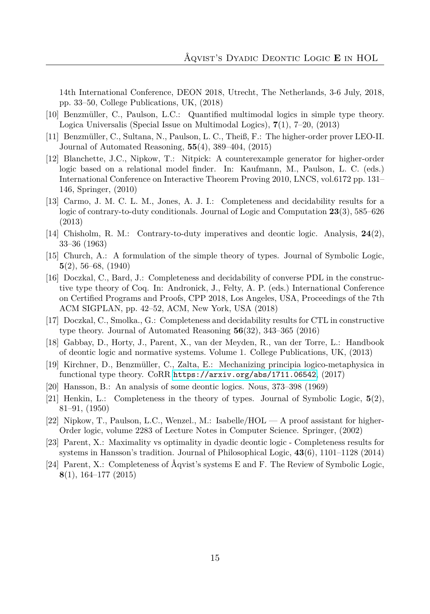14th International Conference, DEON 2018, Utrecht, The Netherlands, 3-6 July, 2018, pp. 33–50, College Publications, UK, (2018)

- <span id="page-14-11"></span>[10] Benzmüller, C., Paulson, L.C.: Quantified multimodal logics in simple type theory. Logica Universalis (Special Issue on Multimodal Logics), **7**(1), 7–20, (2013)
- <span id="page-14-6"></span>[11] Benzmüller, C., Sultana, N., Paulson, L. C., Theiß, F.: The higher-order prover LEO-II. Journal of Automated Reasoning, **55**(4), 389–404, (2015)
- <span id="page-14-13"></span>[12] Blanchette, J.C., Nipkow, T.: Nitpick: A counterexample generator for higher-order logic based on a relational model finder. In: Kaufmann, M., Paulson, L. C. (eds.) International Conference on Interactive Theorem Proving 2010, LNCS, vol.6172 pp. 131– 146, Springer, (2010)
- <span id="page-14-7"></span>[13] Carmo, J. M. C. L. M., Jones, A. J. I.: Completeness and decidability results for a logic of contrary-to-duty conditionals. Journal of Logic and Computation **23**(3), 585–626 (2013)
- <span id="page-14-2"></span>[14] Chisholm, R. M.: Contrary-to-duty imperatives and deontic logic. Analysis, **24**(2), 33–36 (1963)
- <span id="page-14-4"></span>[15] Church, A.: A formulation of the simple theory of types. Journal of Symbolic Logic, **5**(2), 56–68, (1940)
- <span id="page-14-9"></span>[16] Doczkal, C., Bard, J.: Completeness and decidability of converse PDL in the constructive type theory of Coq. In: Andronick, J., Felty, A. P. (eds.) International Conference on Certified Programs and Proofs, CPP 2018, Los Angeles, USA, Proceedings of the 7th ACM SIGPLAN, pp. 42–52, ACM, New York, USA (2018)
- <span id="page-14-8"></span>[17] Doczkal, C., Smolka., G.: Completeness and decidability results for CTL in constructive type theory. Journal of Automated Reasoning **56**(32), 343–365 (2016)
- <span id="page-14-0"></span>[18] Gabbay, D., Horty, J., Parent, X., van der Meyden, R., van der Torre, L.: Handbook of deontic logic and normative systems. Volume 1. College Publications, UK, (2013)
- <span id="page-14-10"></span>[19] Kirchner, D., Benzmüller, C., Zalta, E.: Mechanizing principia logico-metaphysica in functional type theory. CoRR <https://arxiv.org/abs/1711.06542>, (2017)
- <span id="page-14-1"></span>[20] Hansson, B.: An analysis of some deontic logics. Nous, 373–398 (1969)
- <span id="page-14-12"></span>[21] Henkin, L.: Completeness in the theory of types. Journal of Symbolic Logic, **5**(2), 81–91, (1950)
- <span id="page-14-5"></span>[22] Nipkow, T., Paulson, L.C., Wenzel., M.: Isabelle/HOL — A proof assistant for higher-Order logic, volume 2283 of Lecture Notes in Computer Science. Springer, (2002)
- <span id="page-14-14"></span>[23] Parent, X.: Maximality vs optimality in dyadic deontic logic - Completeness results for systems in Hansson's tradition. Journal of Philosophical Logic, **43**(6), 1101–1128 (2014)
- <span id="page-14-3"></span>[24] Parent, X.: Completeness of Åqvist's systems E and F. The Review of Symbolic Logic, **8**(1), 164–177 (2015)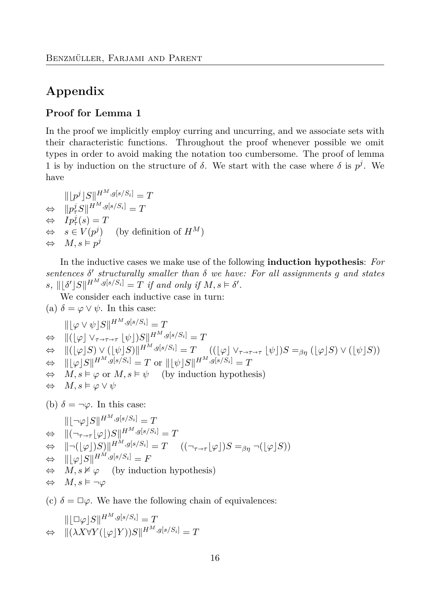# **Appendix**

### **Proof for Lemma 1**

In the proof we implicitly employ curring and uncurring, and we associate sets with their characteristic functions. Throughout the proof whenever possible we omit types in order to avoid making the notation too cumbersome. The proof of lemma 1 is by induction on the structure of  $\delta$ . We start with the case where  $\delta$  is  $p^j$ . We have

 $\| |p^j| S \|^{H^M, g[s/S_i]} = T$  $\Leftrightarrow$   $||p^j_{\tau}S||^{H^M,g[s/S_i]} = T$  $\Leftrightarrow$   $Ip^j_\tau(s) = T$  $\Leftrightarrow$  *s* ∈ *V*( $p<sup>j</sup>$ ) (by definition of *H*<sup>*M*</sup>)  $\Leftrightarrow M, s \models p^j$ 

In the inductive cases we make use of the following **induction hypothesis**: *For sentences δ* 0 *structurally smaller than δ we have: For all assignments g and states*  $S$ <sup>*,*</sup>  $\| |\delta' |S|^{H^M}$ ,g<sup>[s/S<sub>*i*</sub>]</sup> = *T if and only if*  $M, s \models \delta'$ .

We consider each inductive case in turn:

(a) 
$$
\delta = \varphi \lor \psi
$$
. In this case:

$$
\|\lfloor \varphi \vee \psi \rfloor S\|^{H^M, g[s/S_i]} = T
$$
  
\n
$$
\Leftrightarrow \|([\varphi] \vee_{\tau \to \tau \to \tau} [\psi]) S\|^{H^M, g[s/S_i]} = T
$$
  
\n
$$
\Leftrightarrow \|([\varphi]S) \vee ([\psi]S)\|^{H^M, g[s/S_i]} = T \quad (([\varphi] \vee_{\tau \to \tau \to \tau} [\psi]) S =_{\beta \eta} ([\varphi]S) \vee ([\psi]S))
$$
  
\n
$$
\Leftrightarrow \|[\varphi]S\|^{H^M, g[s/S_i]} = T \text{ or } \|[\psi]S\|^{H^M, g[s/S_i]} = T
$$
  
\n
$$
\Leftrightarrow M, s \models \varphi \text{ or } M, s \models \psi \quad \text{(by induction hypothesis)}
$$
  
\n
$$
\Leftrightarrow M, s \models \varphi \vee \psi
$$
  
\n
$$
\Leftrightarrow \delta = \neg \varphi.
$$
 In this case:  
\n
$$
\|\lfloor \neg \varphi \rfloor S\|^{H^M, g[s/S_i]} = T
$$
  
\n
$$
\Leftrightarrow \|(\neg_{\tau \to \tau} [\varphi]) S\|^{H^M, g[s/S_i]} = T \quad ((\neg_{\tau \to \tau} [\varphi]) S =_{\beta \eta} \neg([\varphi] S))
$$
  
\n
$$
\Leftrightarrow \|[\varphi] S\|^{H^M, g[s/S_i]} = F
$$
  
\n
$$
\Leftrightarrow M, s \nvDash \varphi \quad \text{(by induction hypothesis)}
$$

$$
\Leftrightarrow M, s \models \neg \varphi
$$

(c)  $\delta = \Box \varphi$ . We have the following chain of equivalences:

$$
\|\lfloor \mathfrak{Q} \mathfrak{z} \rfloor H^{M,g[s/S_i]} = T
$$
  

$$
\Leftrightarrow \|\langle \lambda X \forall Y(\lfloor \varphi \rfloor Y) \rangle S \|^{H^M,g[s/S_i]} = T
$$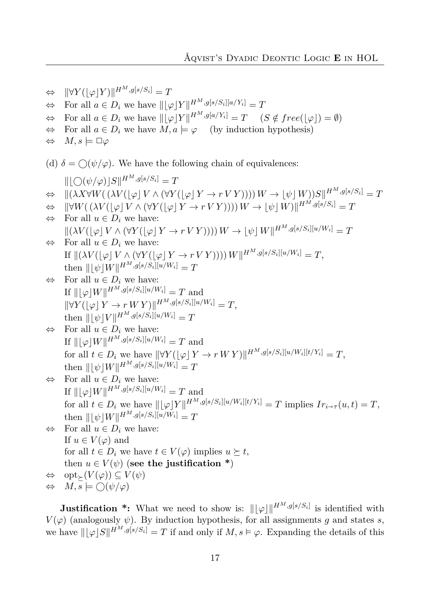$\Leftrightarrow$   $\|\forall Y(|\varphi|Y)\|^{H^M, g[s/S_i]} = T$  $\Leftrightarrow$  For all  $a \in D_i$  we have  $\left\| \left[ \varphi \right] Y \right\|^{HM}, g[s/S_i][a/Y_i]} = T$  $\Leftrightarrow$  For all  $a \in D_i$  we have  $\| \lfloor \varphi \rfloor Y \|^{H^M, g[a/Y_i]} = T$   $(S \notin free(\lfloor \varphi \rfloor) = \emptyset)$  $\Leftrightarrow$  For all *a* ∈ *D<sub>i</sub>* we have *M*, *a*  $\models \varphi$  (by induction hypothesis) ⇔ *M, s* |= ✷*ϕ* (d)  $\delta = \bigcap (\psi/\varphi)$ . We have the following chain of equivalences:  $\Vert \Vert \bigcirc (\psi/\varphi)\vert S \Vert^{H^M,g[s/S_i]} = T$  $\Leftrightarrow$   $\|(\lambda X \forall W((\lambda V(|\varphi| V \wedge (\forall Y(|\varphi| Y \rightarrow r V Y)))) W \rightarrow |\psi| W) ) S\|^{H^M, g[s/S_i]} = T$  $\Leftrightarrow$   $\|\forall W((\lambda V(|\varphi| V \wedge (\forall Y(|\varphi| Y \rightarrow r V Y)))) W \rightarrow |\psi| W)\|^{H^M, g[s/S_i]} = T$  $\Leftrightarrow$  For all  $u \in D_i$  we have:  $\|(\lambda V(|\varphi| V \wedge (\forall Y(|\varphi| Y \rightarrow r V Y)))) W \rightarrow |\psi| W \|^{H^M, g[s/S_i][u/W_i]} = T$  $\Leftrightarrow$  For all  $u \in D_i$  we have:  $\text{If } \left\| \left( \lambda V(|\varphi| V \wedge (\forall Y(|\varphi| Y \rightarrow r V Y))) \right) W \right\|^{H^M, g[s/S_i][u/W_i]} = T,$  $\text{then } \|\|\psi|W\|^{H^M, g[s/S_i][u/W_i]} = T$  $\Leftrightarrow$  For all *u* ∈ *D*<sup>*i*</sup> we have:  $\text{If } \Vert \cdot \varphi \vert W \Vert^{H^M, g[s/S_i][u/W_i]} = T \text{ and }$  $\| \forall Y (|\varphi| \ Y \to r \ W \ Y) \|^{H^M, g[s/S_i][u/W_i]} = T,$  $\text{then } \|\|\psi|V\|^{H^M, g[s/S_i][u/W_i]} = T$  $\Leftrightarrow$  For all  $u \in D_i$  we have:  $\text{If } \Vert \cdot \varphi \vert W \Vert^{H^M, g[s/S_i][u/W_i]} = T \text{ and }$  $\int$  for all  $t \in D_i$  we have  $\|\forall Y(\lfloor \varphi \rfloor Y \rightarrow r W Y)\|^{H^M, g[s/S_i][u/W_i][t/Y_i]} = T$ ,  $\text{then } \|\|\psi|W\|^{H^M, g[s/S_i][u/W_i]} = T$  $\Leftrightarrow$  For all *u* ∈ *D*<sub>*i*</sub> we have:  $\text{If } \Vert \cdot \varphi \vert W \Vert^{H^M, g[s/S_i][u/W_i]} = T \text{ and }$ for all  $t \in D_i$  we have  $\|\lfloor \varphi \rfloor Y \|^{\n{H^M} g[s/S_i][u/W_i][t/Y_i]} = T$  implies  $Ir_{i \to \tau}(u, t) = T$ ,  $\text{then } \|\|\psi|W\|^{H^M, g[s/S_i][u/W_i]} = T$  $\Leftrightarrow$  For all  $u \in D_i$  we have: If  $u \in V(\varphi)$  and for all  $t \in D_i$  we have  $t \in V(\varphi)$  implies  $u \succeq t$ , then  $u \in V(\psi)$  (see the justification \*)  $\Leftrightarrow$  opt<sub> $\succ$ </sub> $(V(\varphi)) \subseteq V(\psi)$  $\Leftrightarrow M, \overline{s} \models \bigcirc (\psi/\varphi)$ 

**Justification \*:** What we need to show is:  $\|\phi\|^{H^M, g[s/S_i]}$  is identified with  $V(\varphi)$  (analogously  $\psi$ ). By induction hypothesis, for all assignments *g* and states *s*, we have  $\| |\varphi| S \|^{H^M, g[s/S_i]} = T$  if and only if  $M, s \models \varphi$ . Expanding the details of this